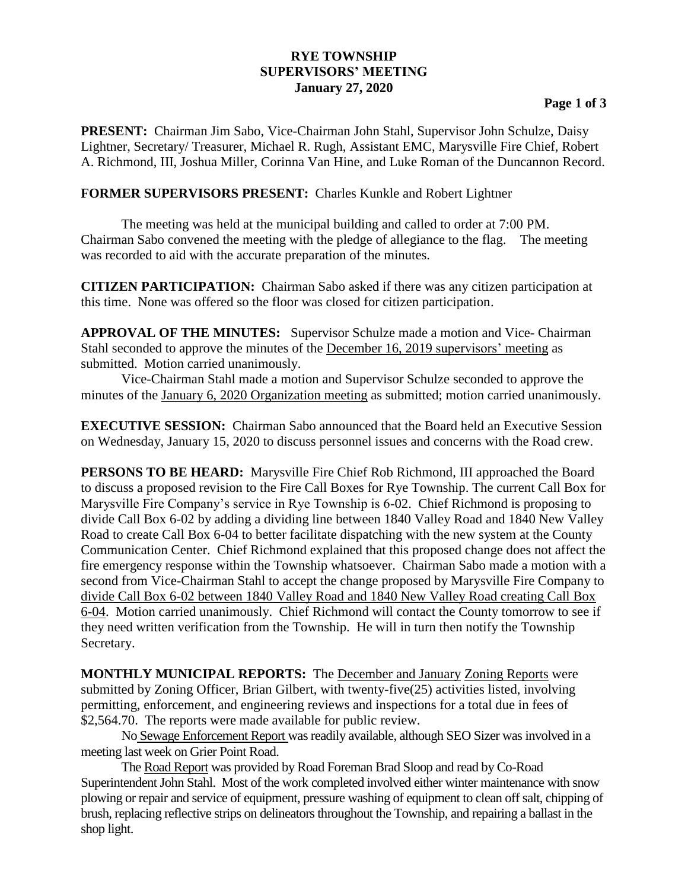## **RYE TOWNSHIP SUPERVISORS' MEETING January 27, 2020**

## **Page 1 of 3**

**PRESENT:** Chairman Jim Sabo, Vice-Chairman John Stahl, Supervisor John Schulze, Daisy Lightner, Secretary/ Treasurer, Michael R. Rugh, Assistant EMC, Marysville Fire Chief, Robert A. Richmond, III, Joshua Miller, Corinna Van Hine, and Luke Roman of the Duncannon Record.

## **FORMER SUPERVISORS PRESENT:** Charles Kunkle and Robert Lightner

The meeting was held at the municipal building and called to order at 7:00 PM. Chairman Sabo convened the meeting with the pledge of allegiance to the flag. The meeting was recorded to aid with the accurate preparation of the minutes.

**CITIZEN PARTICIPATION:** Chairman Sabo asked if there was any citizen participation at this time. None was offered so the floor was closed for citizen participation.

**APPROVAL OF THE MINUTES:** Supervisor Schulze made a motion and Vice- Chairman Stahl seconded to approve the minutes of the December 16, 2019 supervisors' meeting as submitted. Motion carried unanimously.

Vice-Chairman Stahl made a motion and Supervisor Schulze seconded to approve the minutes of the January 6, 2020 Organization meeting as submitted; motion carried unanimously.

**EXECUTIVE SESSION:** Chairman Sabo announced that the Board held an Executive Session on Wednesday, January 15, 2020 to discuss personnel issues and concerns with the Road crew.

**PERSONS TO BE HEARD:** Marysville Fire Chief Rob Richmond, III approached the Board to discuss a proposed revision to the Fire Call Boxes for Rye Township. The current Call Box for Marysville Fire Company's service in Rye Township is 6-02. Chief Richmond is proposing to divide Call Box 6-02 by adding a dividing line between 1840 Valley Road and 1840 New Valley Road to create Call Box 6-04 to better facilitate dispatching with the new system at the County Communication Center. Chief Richmond explained that this proposed change does not affect the fire emergency response within the Township whatsoever. Chairman Sabo made a motion with a second from Vice-Chairman Stahl to accept the change proposed by Marysville Fire Company to divide Call Box 6-02 between 1840 Valley Road and 1840 New Valley Road creating Call Box 6-04. Motion carried unanimously. Chief Richmond will contact the County tomorrow to see if they need written verification from the Township. He will in turn then notify the Township Secretary.

**MONTHLY MUNICIPAL REPORTS:** The December and January Zoning Reports were submitted by Zoning Officer, Brian Gilbert, with twenty-five(25) activities listed, involving permitting, enforcement, and engineering reviews and inspections for a total due in fees of \$2,564.70. The reports were made available for public review.

No Sewage Enforcement Report was readily available, although SEO Sizer was involved in a meeting last week on Grier Point Road.

The Road Report was provided by Road Foreman Brad Sloop and read by Co-Road Superintendent John Stahl. Most of the work completed involved either winter maintenance with snow plowing or repair and service of equipment, pressure washing of equipment to clean off salt, chipping of brush, replacing reflective strips on delineators throughout the Township, and repairing a ballast in the shop light.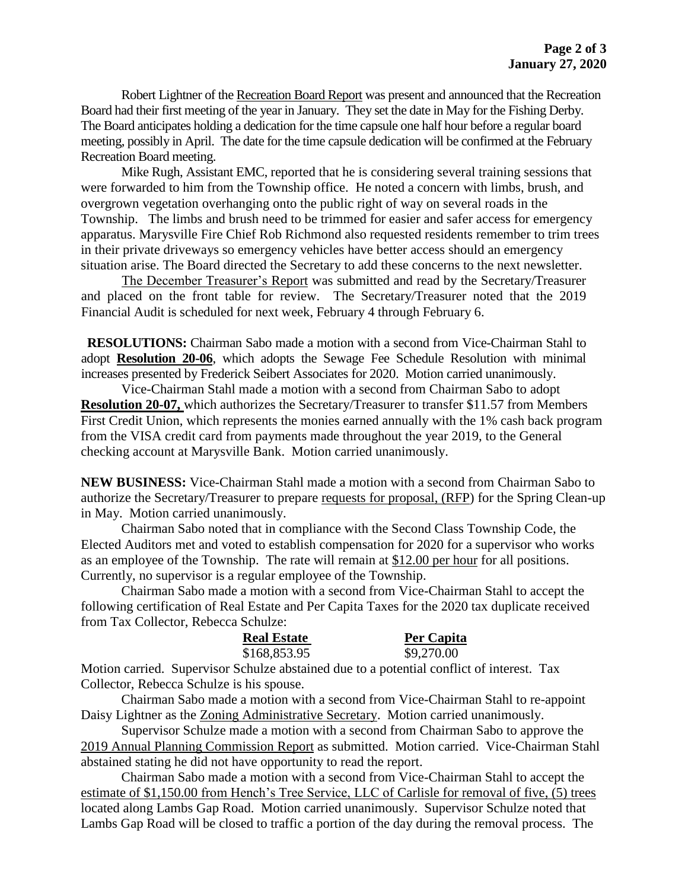Robert Lightner of the Recreation Board Report was present and announced that the Recreation Board had their first meeting of the year in January. They set the date in May for the Fishing Derby. The Board anticipates holding a dedication for the time capsule one half hour before a regular board meeting, possibly in April. The date for the time capsule dedication will be confirmed at the February Recreation Board meeting.

Mike Rugh, Assistant EMC, reported that he is considering several training sessions that were forwarded to him from the Township office. He noted a concern with limbs, brush, and overgrown vegetation overhanging onto the public right of way on several roads in the Township. The limbs and brush need to be trimmed for easier and safer access for emergency apparatus. Marysville Fire Chief Rob Richmond also requested residents remember to trim trees in their private driveways so emergency vehicles have better access should an emergency situation arise. The Board directed the Secretary to add these concerns to the next newsletter.

The December Treasurer's Report was submitted and read by the Secretary/Treasurer and placed on the front table for review. The Secretary/Treasurer noted that the 2019 Financial Audit is scheduled for next week, February 4 through February 6.

 **RESOLUTIONS:** Chairman Sabo made a motion with a second from Vice-Chairman Stahl to adopt **Resolution 20-06**, which adopts the Sewage Fee Schedule Resolution with minimal increases presented by Frederick Seibert Associates for 2020. Motion carried unanimously.

Vice-Chairman Stahl made a motion with a second from Chairman Sabo to adopt **Resolution 20-07,** which authorizes the Secretary/Treasurer to transfer \$11.57 from Members First Credit Union, which represents the monies earned annually with the 1% cash back program from the VISA credit card from payments made throughout the year 2019, to the General checking account at Marysville Bank. Motion carried unanimously.

**NEW BUSINESS:** Vice-Chairman Stahl made a motion with a second from Chairman Sabo to authorize the Secretary/Treasurer to prepare requests for proposal, (RFP) for the Spring Clean-up in May. Motion carried unanimously.

Chairman Sabo noted that in compliance with the Second Class Township Code, the Elected Auditors met and voted to establish compensation for 2020 for a supervisor who works as an employee of the Township. The rate will remain at \$12.00 per hour for all positions. Currently, no supervisor is a regular employee of the Township.

Chairman Sabo made a motion with a second from Vice-Chairman Stahl to accept the following certification of Real Estate and Per Capita Taxes for the 2020 tax duplicate received from Tax Collector, Rebecca Schulze:

| <b>Real Estate</b> | Per Capita |
|--------------------|------------|
| \$168,853.95       | \$9,270.00 |
|                    |            |

Motion carried. Supervisor Schulze abstained due to a potential conflict of interest. Tax Collector, Rebecca Schulze is his spouse.

Chairman Sabo made a motion with a second from Vice-Chairman Stahl to re-appoint Daisy Lightner as the Zoning Administrative Secretary. Motion carried unanimously.

Supervisor Schulze made a motion with a second from Chairman Sabo to approve the 2019 Annual Planning Commission Report as submitted. Motion carried. Vice-Chairman Stahl abstained stating he did not have opportunity to read the report.

Chairman Sabo made a motion with a second from Vice-Chairman Stahl to accept the estimate of \$1,150.00 from Hench's Tree Service, LLC of Carlisle for removal of five, (5) trees located along Lambs Gap Road. Motion carried unanimously. Supervisor Schulze noted that Lambs Gap Road will be closed to traffic a portion of the day during the removal process. The